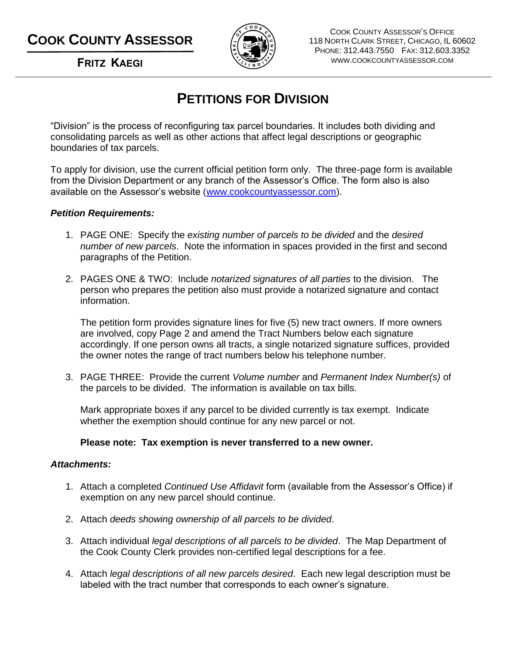# **COOK COUNTY ASSESSOR**



COOK COUNTY ASSESSOR'S OFFICE 118 NORTH CLARK STREET, CHICAGO, IL 60602 PHONE: 312.443.7550 FAX: 312.603.3352 WWW.COOKCOUNTYASSESSOR.COM

**FRITZ KAEGI**

## **PETITIONS FOR DIVISION**

"Division" is the process of reconfiguring tax parcel boundaries. It includes both dividing and consolidating parcels as well as other actions that affect legal descriptions or geographic boundaries of tax parcels.

To apply for division, use the current official petition form only. The three-page form is available from the Division Department or any branch of the Assessor's Office. The form also is also available on the Assessor's website [\(www.cookcountyassessor.com\)](http://www.cookcountyassessor.com/).

### *Petition Requirements:*

- 1. PAGE ONE: Specify the *existing number of parcels to be divided* and the *desired number of new parcels*. Note the information in spaces provided in the first and second paragraphs of the Petition.
- 2. PAGES ONE & TWO: Include *notarized signatures of all parties* to the division. The person who prepares the petition also must provide a notarized signature and contact information.

The petition form provides signature lines for five (5) new tract owners. If more owners are involved, copy Page 2 and amend the Tract Numbers below each signature accordingly. If one person owns all tracts, a single notarized signature suffices, provided the owner notes the range of tract numbers below his telephone number.

3. PAGE THREE: Provide the current *Volume number* and *Permanent Index Number(s)* of the parcels to be divided. The information is available on tax bills.

Mark appropriate boxes if any parcel to be divided currently is tax exempt. Indicate whether the exemption should continue for any new parcel or not.

#### **Please note: Tax exemption is never transferred to a new owner.**

#### *Attachments:*

- 1. Attach a completed *Continued Use Affidavit* form (available from the Assessor's Office) if exemption on any new parcel should continue.
- 2. Attach *deeds showing ownership of all parcels to be divided*.
- 3. Attach individual *legal descriptions of all parcels to be divided*. The Map Department of the Cook County Clerk provides non-certified legal descriptions for a fee.
- 4. Attach *legal descriptions of all new parcels desired*. Each new legal description must be labeled with the tract number that corresponds to each owner's signature.